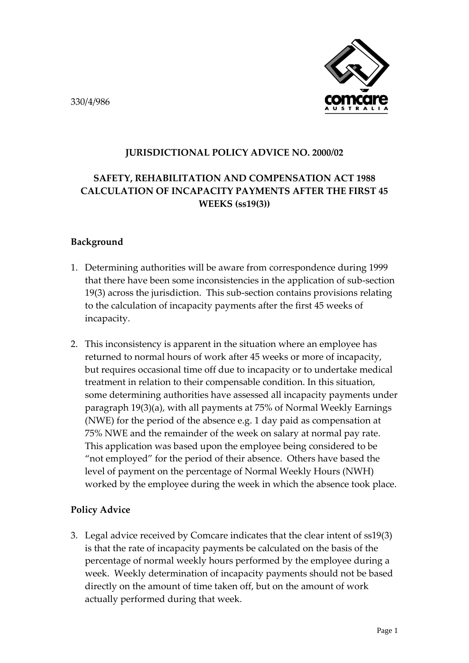330/4/986



## **JURISDICTIONAL POLICY ADVICE NO. 2000/02**

## **SAFETY, REHABILITATION AND COMPENSATION ACT 1988 CALCULATION OF INCAPACITY PAYMENTS AFTER THE FIRST 45 WEEKS (ss19(3))**

## **Background**

- 1. Determining authorities will be aware from correspondence during 1999 that there have been some inconsistencies in the application of sub-section 19(3) across the jurisdiction. This sub-section contains provisions relating to the calculation of incapacity payments after the first 45 weeks of incapacity.
- 2. This inconsistency is apparent in the situation where an employee has returned to normal hours of work after 45 weeks or more of incapacity, but requires occasional time off due to incapacity or to undertake medical treatment in relation to their compensable condition. In this situation, some determining authorities have assessed all incapacity payments under paragraph 19(3)(a), with all payments at 75% of Normal Weekly Earnings (NWE) for the period of the absence e.g. 1 day paid as compensation at 75% NWE and the remainder of the week on salary at normal pay rate. This application was based upon the employee being considered to be "not employed" for the period of their absence. Others have based the level of payment on the percentage of Normal Weekly Hours (NWH) worked by the employee during the week in which the absence took place.

## **Policy Advice**

3. Legal advice received by Comcare indicates that the clear intent of ss19(3) is that the rate of incapacity payments be calculated on the basis of the percentage of normal weekly hours performed by the employee during a week. Weekly determination of incapacity payments should not be based directly on the amount of time taken off, but on the amount of work actually performed during that week.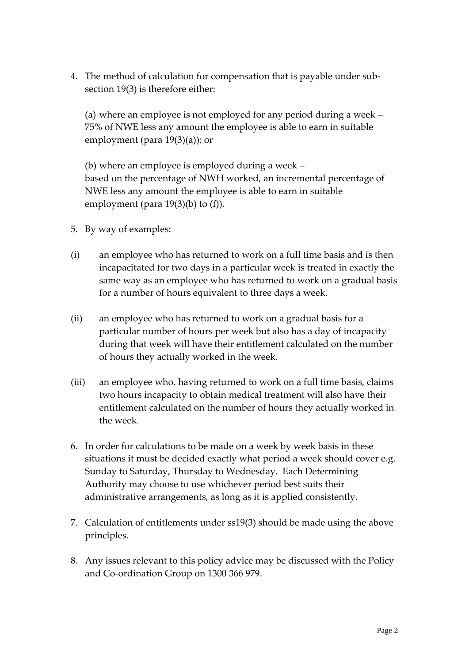4. The method of calculation for compensation that is payable under subsection 19(3) is therefore either:

(a) where an employee is not employed for any period during a week – 75% of NWE less any amount the employee is able to earn in suitable employment (para 19(3)(a)); or

(b) where an employee is employed during a week – based on the percentage of NWH worked, an incremental percentage of NWE less any amount the employee is able to earn in suitable employment (para 19(3)(b) to (f)).

- 5. By way of examples:
- (i) an employee who has returned to work on a full time basis and is then incapacitated for two days in a particular week is treated in exactly the same way as an employee who has returned to work on a gradual basis for a number of hours equivalent to three days a week.
- (ii) an employee who has returned to work on a gradual basis for a particular number of hours per week but also has a day of incapacity during that week will have their entitlement calculated on the number of hours they actually worked in the week.
- (iii) an employee who, having returned to work on a full time basis, claims two hours incapacity to obtain medical treatment will also have their entitlement calculated on the number of hours they actually worked in the week.
- 6. In order for calculations to be made on a week by week basis in these situations it must be decided exactly what period a week should cover e.g. Sunday to Saturday, Thursday to Wednesday. Each Determining Authority may choose to use whichever period best suits their administrative arrangements, as long as it is applied consistently.
- 7. Calculation of entitlements under ss19(3) should be made using the above principles.
- 8. Any issues relevant to this policy advice may be discussed with the Policy and Co-ordination Group on 1300 366 979.